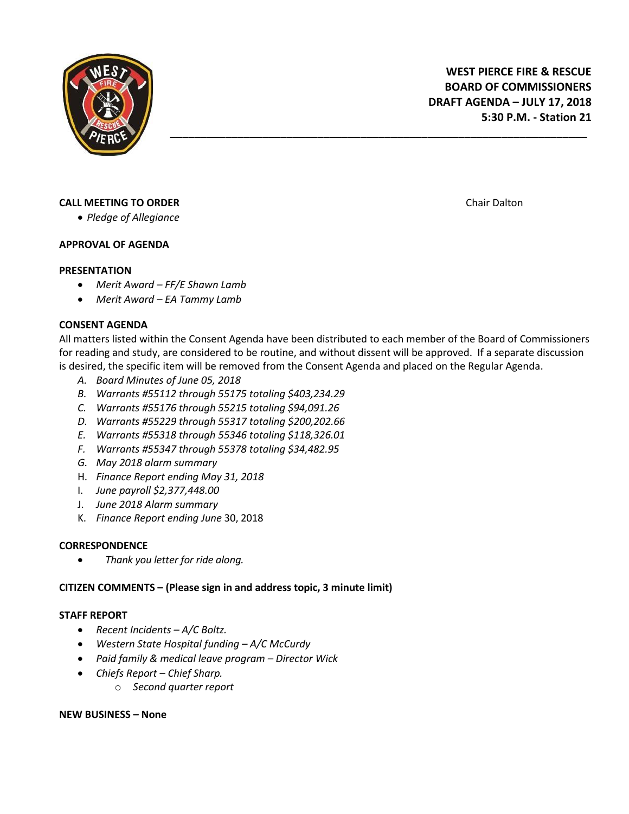

# **CALL MEETING TO ORDER CALL MEETING TO ORDER CHAIR CHAIR CHAIR CHAIR CHAIR CHAIR CHAIR CHAIR CHAIR CHAIR CHAIR CHAIR CHAIR CHAIR CHAIR CHAIR CHAIR CHAIR CHAIR CHAIR CHAIR CHAIR CHAIR CHAIR CHAIR CHAIR CHAIR CHAIR CHAIR**

*Pledge of Allegiance*

## **APPROVAL OF AGENDA**

## **PRESENTATION**

- *Merit Award – FF/E Shawn Lamb*
- *Merit Award – EA Tammy Lamb*

## **CONSENT AGENDA**

All matters listed within the Consent Agenda have been distributed to each member of the Board of Commissioners for reading and study, are considered to be routine, and without dissent will be approved. If a separate discussion is desired, the specific item will be removed from the Consent Agenda and placed on the Regular Agenda.

\_\_\_\_\_\_\_\_\_\_\_\_\_\_\_\_\_\_\_\_\_\_\_\_\_\_\_\_\_\_\_\_\_\_\_\_\_\_\_\_\_\_\_\_\_\_\_\_\_\_\_\_\_\_\_\_\_\_\_\_\_\_\_\_\_\_\_\_

- *A. Board Minutes of June 05, 2018*
- *B. Warrants #55112 through 55175 totaling \$403,234.29*
- *C. Warrants #55176 through 55215 totaling \$94,091.26*
- *D. Warrants #55229 through 55317 totaling \$200,202.66*
- *E. Warrants #55318 through 55346 totaling \$118,326.01*
- *F. Warrants #55347 through 55378 totaling \$34,482.95*
- *G. May 2018 alarm summary*
- H. *Finance Report ending May 31, 2018*
- I. *June payroll \$2,377,448.00*
- J. *June 2018 Alarm summary*
- K. *Finance Report ending June* 30, 2018

#### **CORRESPONDENCE**

*Thank you letter for ride along.* 

## **CITIZEN COMMENTS – (Please sign in and address topic, 3 minute limit)**

#### **STAFF REPORT**

- *Recent Incidents – A/C Boltz.*
- *Western State Hospital funding – A/C McCurdy*
- *Paid family & medical leave program – Director Wick*
- *Chiefs Report – Chief Sharp.*
	- o *Second quarter report*

#### **NEW BUSINESS – None**